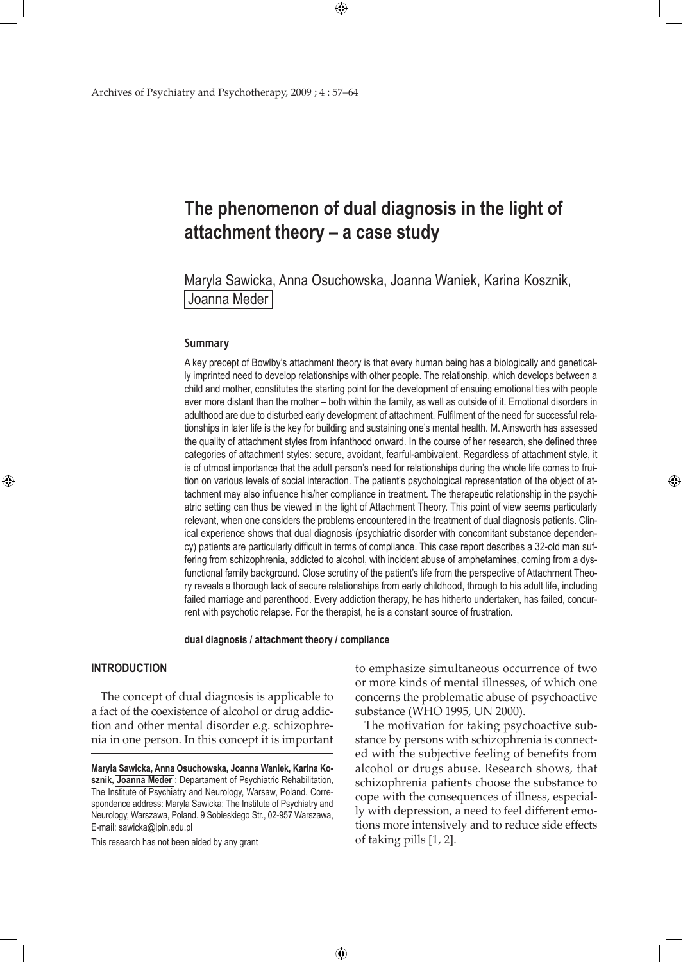# **The phenomenon of dual diagnosis in the light of attachment theory – a case study**

 $\bigoplus$ 

Maryla Sawicka, Anna Osuchowska, Joanna Waniek, Karina Kosznik, Joanna Meder

#### **Summary**

A key precept of Bowlby's attachment theory is that every human being has a biologically and genetically imprinted need to develop relationships with other people. The relationship, which develops between a child and mother, constitutes the starting point for the development of ensuing emotional ties with people ever more distant than the mother – both within the family, as well as outside of it. Emotional disorders in adulthood are due to disturbed early development of attachment. Fulfilment of the need for successful relationships in later life is the key for building and sustaining one's mental health. M. Ainsworth has assessed the quality of attachment styles from infanthood onward. In the course of her research, she defined three categories of attachment styles: secure, avoidant, fearful-ambivalent. Regardless of attachment style, it is of utmost importance that the adult person's need for relationships during the whole life comes to fruition on various levels of social interaction. The patient's psychological representation of the object of attachment may also influence his/her compliance in treatment. The therapeutic relationship in the psychiatric setting can thus be viewed in the light of Attachment Theory. This point of view seems particularly relevant, when one considers the problems encountered in the treatment of dual diagnosis patients. Clinical experience shows that dual diagnosis (psychiatric disorder with concomitant substance dependency) patients are particularly difficult in terms of compliance. This case report describes a 32-old man suffering from schizophrenia, addicted to alcohol, with incident abuse of amphetamines, coming from a dysfunctional family background. Close scrutiny of the patient's life from the perspective of Attachment Theory reveals a thorough lack of secure relationships from early childhood, through to his adult life, including failed marriage and parenthood. Every addiction therapy, he has hitherto undertaken, has failed, concurrent with psychotic relapse. For the therapist, he is a constant source of frustration.

### **dual diagnosis / attachment theory / compliance**

 $\bigoplus$ 

## **INTRODUCTION**

⊕

The concept of dual diagnosis is applicable to a fact of the coexistence of alcohol or drug addiction and other mental disorder e.g. schizophrenia in one person. In this concept it is important

This research has not been aided by any grant

to emphasize simultaneous occurrence of two or more kinds of mental illnesses, of which one concerns the problematic abuse of psychoactive substance (WHO 1995, UN 2000).

⊕

The motivation for taking psychoactive substance by persons with schizophrenia is connected with the subjective feeling of benefits from alcohol or drugs abuse. Research shows, that schizophrenia patients choose the substance to cope with the consequences of illness, especially with depression, a need to feel different emotions more intensively and to reduce side effects of taking pills [1, 2].

**Maryla Sawicka, Anna Osuchowska, Joanna Waniek, Karina Kosznik, Joanna Meder** : Departament of Psychiatric Rehabilitation, The Institute of Psychiatry and Neurology, Warsaw, Poland. Correspondence address: Maryla Sawicka: The Institute of Psychiatry and Neurology, Warszawa, Poland. 9 Sobieskiego Str., 02-957 Warszawa, E-mail: sawicka@ipin.edu.pl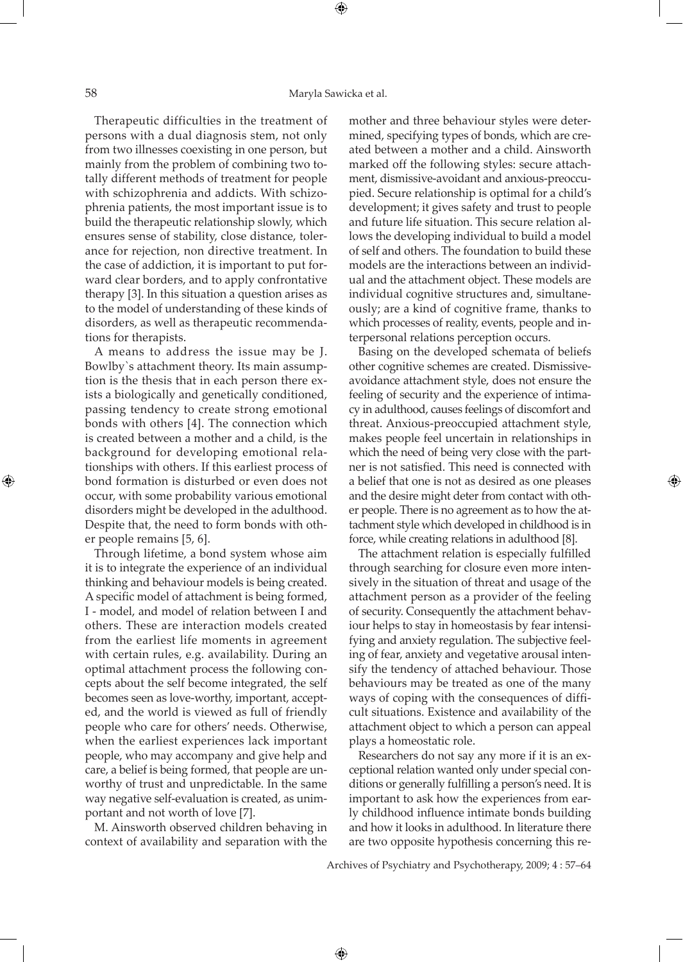Therapeutic difficulties in the treatment of persons with a dual diagnosis stem, not only from two illnesses coexisting in one person, but mainly from the problem of combining two totally different methods of treatment for people with schizophrenia and addicts. With schizophrenia patients, the most important issue is to build the therapeutic relationship slowly, which ensures sense of stability, close distance, tolerance for rejection, non directive treatment. In the case of addiction, it is important to put forward clear borders, and to apply confrontative therapy [3]. In this situation a question arises as to the model of understanding of these kinds of disorders, as well as therapeutic recommendations for therapists.

A means to address the issue may be J. Bowlby`s attachment theory. Its main assumption is the thesis that in each person there exists a biologically and genetically conditioned, passing tendency to create strong emotional bonds with others [4]. The connection which is created between a mother and a child, is the background for developing emotional relationships with others. If this earliest process of bond formation is disturbed or even does not occur, with some probability various emotional disorders might be developed in the adulthood. Despite that, the need to form bonds with other people remains [5, 6].

Through lifetime, a bond system whose aim it is to integrate the experience of an individual thinking and behaviour models is being created. A specific model of attachment is being formed, I - model, and model of relation between I and others. These are interaction models created from the earliest life moments in agreement with certain rules, e.g. availability. During an optimal attachment process the following concepts about the self become integrated, the self becomes seen as love-worthy, important, accepted, and the world is viewed as full of friendly people who care for others' needs. Otherwise, when the earliest experiences lack important people, who may accompany and give help and care, a belief is being formed, that people are unworthy of trust and unpredictable. In the same way negative self-evaluation is created, as unimportant and not worth of love [7].

M. Ainsworth observed children behaving in context of availability and separation with the

mother and three behaviour styles were determined, specifying types of bonds, which are created between a mother and a child. Ainsworth marked off the following styles: secure attachment, dismissive-avoidant and anxious-preoccupied. Secure relationship is optimal for a child's development; it gives safety and trust to people and future life situation. This secure relation allows the developing individual to build a model of self and others. The foundation to build these models are the interactions between an individual and the attachment object. These models are individual cognitive structures and, simultaneously; are a kind of cognitive frame, thanks to which processes of reality, events, people and interpersonal relations perception occurs.

Basing on the developed schemata of beliefs other cognitive schemes are created. Dismissiveavoidance attachment style, does not ensure the feeling of security and the experience of intimacy in adulthood, causes feelings of discomfort and threat. Anxious-preoccupied attachment style, makes people feel uncertain in relationships in which the need of being very close with the partner is not satisfied. This need is connected with a belief that one is not as desired as one pleases and the desire might deter from contact with other people. There is no agreement as to how the attachment style which developed in childhood is in force, while creating relations in adulthood [8].

The attachment relation is especially fulfilled through searching for closure even more intensively in the situation of threat and usage of the attachment person as a provider of the feeling of security. Consequently the attachment behaviour helps to stay in homeostasis by fear intensifying and anxiety regulation. The subjective feeling of fear, anxiety and vegetative arousal intensify the tendency of attached behaviour. Those behaviours may be treated as one of the many ways of coping with the consequences of difficult situations. Existence and availability of the attachment object to which a person can appeal plays a homeostatic role.

Researchers do not say any more if it is an exceptional relation wanted only under special conditions or generally fulfilling a person's need. It is important to ask how the experiences from early childhood influence intimate bonds building and how it looks in adulthood. In literature there are two opposite hypothesis concerning this re-

Archives of Psychiatry and Psychotherapy, 2009; 4 : 57–64

⊕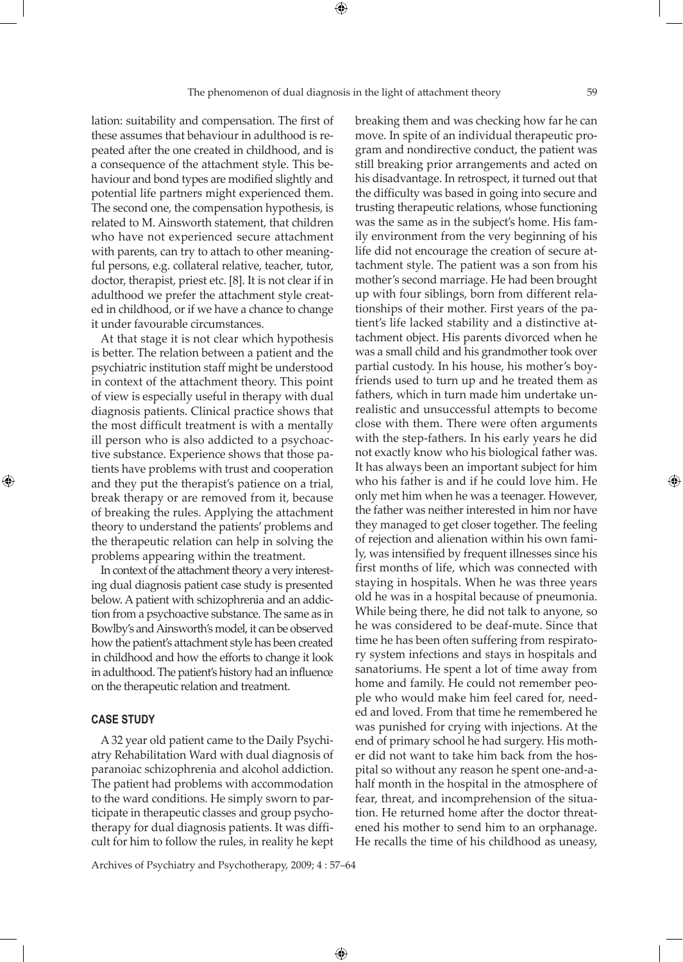lation: suitability and compensation. The first of these assumes that behaviour in adulthood is repeated after the one created in childhood, and is a consequence of the attachment style. This behaviour and bond types are modified slightly and potential life partners might experienced them. The second one, the compensation hypothesis, is related to M. Ainsworth statement, that children who have not experienced secure attachment with parents, can try to attach to other meaningful persons, e.g. collateral relative, teacher, tutor, doctor, therapist, priest etc. [8]. It is not clear if in adulthood we prefer the attachment style created in childhood, or if we have a chance to change it under favourable circumstances.

At that stage it is not clear which hypothesis is better. The relation between a patient and the psychiatric institution staff might be understood in context of the attachment theory. This point of view is especially useful in therapy with dual diagnosis patients. Clinical practice shows that the most difficult treatment is with a mentally ill person who is also addicted to a psychoactive substance. Experience shows that those patients have problems with trust and cooperation and they put the therapist's patience on a trial, break therapy or are removed from it, because of breaking the rules. Applying the attachment theory to understand the patients' problems and the therapeutic relation can help in solving the problems appearing within the treatment.

In context of the attachment theory a very interesting dual diagnosis patient case study is presented below. A patient with schizophrenia and an addiction from a psychoactive substance. The same as in Bowlby's and Ainsworth's model, it can be observed how the patient's attachment style has been created in childhood and how the efforts to change it look in adulthood. The patient's history had an influence on the therapeutic relation and treatment.

## **CASE STUDY**

⊕

A 32 year old patient came to the Daily Psychiatry Rehabilitation Ward with dual diagnosis of paranoiac schizophrenia and alcohol addiction. The patient had problems with accommodation to the ward conditions. He simply sworn to participate in therapeutic classes and group psychotherapy for dual diagnosis patients. It was difficult for him to follow the rules, in reality he kept breaking them and was checking how far he can move. In spite of an individual therapeutic program and nondirective conduct, the patient was still breaking prior arrangements and acted on his disadvantage. In retrospect, it turned out that the difficulty was based in going into secure and trusting therapeutic relations, whose functioning was the same as in the subject's home. His family environment from the very beginning of his life did not encourage the creation of secure attachment style. The patient was a son from his mother's second marriage. He had been brought up with four siblings, born from different relationships of their mother. First years of the patient's life lacked stability and a distinctive attachment object. His parents divorced when he was a small child and his grandmother took over partial custody. In his house, his mother's boyfriends used to turn up and he treated them as fathers, which in turn made him undertake unrealistic and unsuccessful attempts to become close with them. There were often arguments with the step-fathers. In his early years he did not exactly know who his biological father was. It has always been an important subject for him who his father is and if he could love him. He only met him when he was a teenager. However, the father was neither interested in him nor have they managed to get closer together. The feeling of rejection and alienation within his own family, was intensified by frequent illnesses since his first months of life, which was connected with staying in hospitals. When he was three years old he was in a hospital because of pneumonia. While being there, he did not talk to anyone, so he was considered to be deaf-mute. Since that time he has been often suffering from respiratory system infections and stays in hospitals and sanatoriums. He spent a lot of time away from home and family. He could not remember people who would make him feel cared for, needed and loved. From that time he remembered he was punished for crying with injections. At the end of primary school he had surgery. His mother did not want to take him back from the hospital so without any reason he spent one-and-ahalf month in the hospital in the atmosphere of fear, threat, and incomprehension of the situation. He returned home after the doctor threatened his mother to send him to an orphanage. He recalls the time of his childhood as uneasy,

Archives of Psychiatry and Psychotherapy, 2009; 4 : 57–64

 $\bigoplus$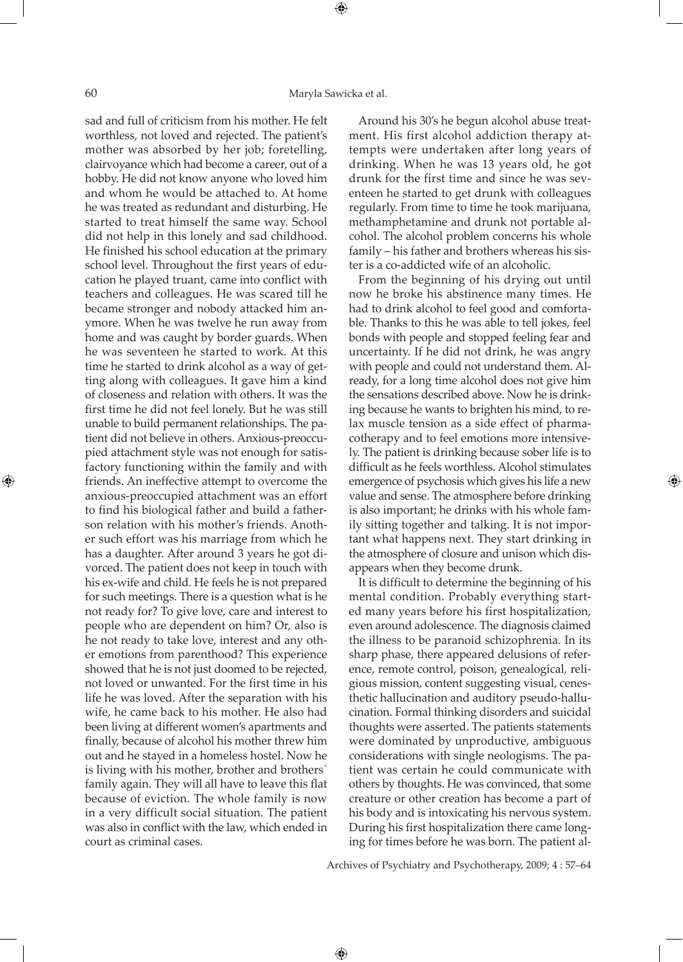sad and full of criticism from his mother. He felt worthless, not loved and rejected. The patient's mother was absorbed by her job; foretelling, clairvoyance which had become a career, out of a hobby. He did not know anyone who loved him and whom he would be attached to. At home he was treated as redundant and disturbing. He started to treat himself the same way. School did not help in this lonely and sad childhood. He finished his school education at the primary school level. Throughout the first years of education he played truant, came into conflict with teachers and colleagues. He was scared till he became stronger and nobody attacked him anymore. When he was twelve he run away from home and was caught by border guards. When he was seventeen he started to work. At this time he started to drink alcohol as a way of getting along with colleagues. It gave him a kind of closeness and relation with others. It was the first time he did not feel lonely. But he was still unable to build permanent relationships. The patient did not believe in others. Anxious-preoccupied attachment style was not enough for satisfactory functioning within the family and with friends. An ineffective attempt to overcome the anxious-preoccupied attachment was an effort to find his biological father and build a fatherson relation with his mother's friends. Another such effort was his marriage from which he has a daughter. After around 3 years he got divorced. The patient does not keep in touch with his ex-wife and child. He feels he is not prepared for such meetings. There is a question what is he not ready for? To give love, care and interest to people who are dependent on him? Or, also is he not ready to take love, interest and any other emotions from parenthood? This experience showed that he is not just doomed to be rejected, not loved or unwanted. For the first time in his life he was loved. After the separation with his wife, he came back to his mother. He also had been living at different women's apartments and finally, because of alcohol his mother threw him out and he stayed in a homeless hostel. Now he is living with his mother, brother and brothers` family again. They will all have to leave this flat because of eviction. The whole family is now in a very difficult social situation. The patient was also in conflict with the law, which ended in court as criminal cases.

Around his 30's he begun alcohol abuse treatment. His first alcohol addiction therapy attempts were undertaken after long years of drinking. When he was 13 years old, he got drunk for the first time and since he was seventeen he started to get drunk with colleagues regularly. From time to time he took marijuana, methamphetamine and drunk not portable alcohol. The alcohol problem concerns his whole family – his father and brothers whereas his sister is a co-addicted wife of an alcoholic.

From the beginning of his drying out until now he broke his abstinence many times. He had to drink alcohol to feel good and comfortable. Thanks to this he was able to tell jokes, feel bonds with people and stopped feeling fear and uncertainty. If he did not drink, he was angry with people and could not understand them. Already, for a long time alcohol does not give him the sensations described above. Now he is drinking because he wants to brighten his mind, to relax muscle tension as a side effect of pharmacotherapy and to feel emotions more intensively. The patient is drinking because sober life is to difficult as he feels worthless. Alcohol stimulates emergence of psychosis which gives his life a new value and sense. The atmosphere before drinking is also important; he drinks with his whole family sitting together and talking. It is not important what happens next. They start drinking in the atmosphere of closure and unison which disappears when they become drunk.

It is difficult to determine the beginning of his mental condition. Probably everything started many years before his first hospitalization, even around adolescence. The diagnosis claimed the illness to be paranoid schizophrenia. In its sharp phase, there appeared delusions of reference, remote control, poison, genealogical, religious mission, content suggesting visual, cenesthetic hallucination and auditory pseudo-hallucination. Formal thinking disorders and suicidal thoughts were asserted. The patients statements were dominated by unproductive, ambiguous considerations with single neologisms. The patient was certain he could communicate with others by thoughts. He was convinced, that some creature or other creation has become a part of his body and is intoxicating his nervous system. During his first hospitalization there came longing for times before he was born. The patient al-

Archives of Psychiatry and Psychotherapy, 2009; 4 : 57–64

⊕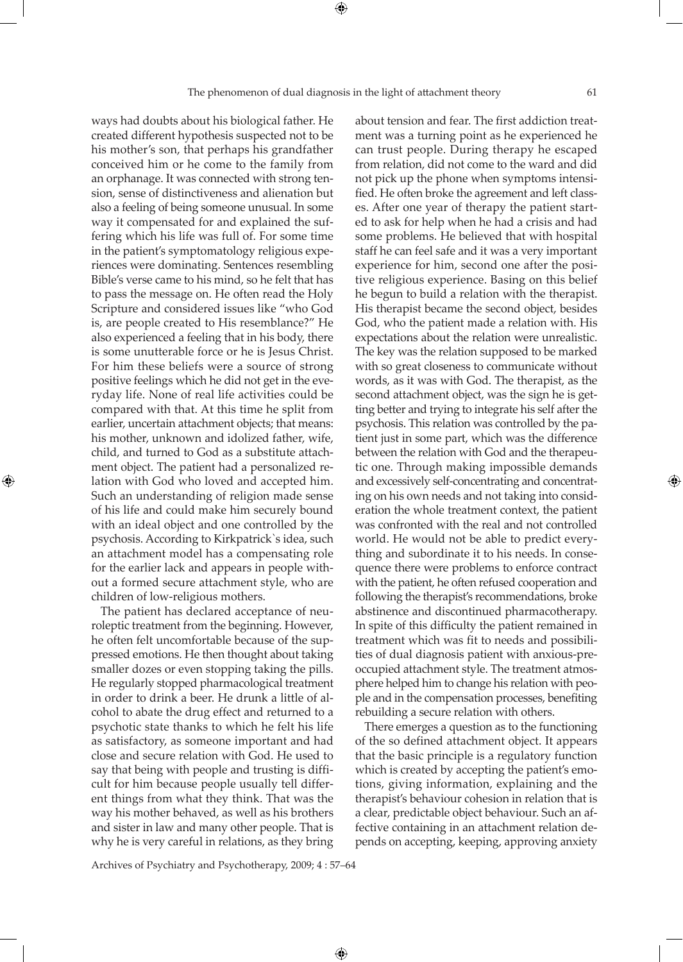ways had doubts about his biological father. He created different hypothesis suspected not to be his mother's son, that perhaps his grandfather conceived him or he come to the family from an orphanage. It was connected with strong tension, sense of distinctiveness and alienation but also a feeling of being someone unusual. In some way it compensated for and explained the suffering which his life was full of. For some time in the patient's symptomatology religious experiences were dominating. Sentences resembling Bible's verse came to his mind, so he felt that has to pass the message on. He often read the Holy Scripture and considered issues like "who God is, are people created to His resemblance?" He also experienced a feeling that in his body, there is some unutterable force or he is Jesus Christ. For him these beliefs were a source of strong positive feelings which he did not get in the everyday life. None of real life activities could be compared with that. At this time he split from earlier, uncertain attachment objects; that means: his mother, unknown and idolized father, wife, child, and turned to God as a substitute attachment object. The patient had a personalized relation with God who loved and accepted him. Such an understanding of religion made sense of his life and could make him securely bound with an ideal object and one controlled by the psychosis. According to Kirkpatrick`s idea, such an attachment model has a compensating role for the earlier lack and appears in people without a formed secure attachment style, who are

The patient has declared acceptance of neuroleptic treatment from the beginning. However, he often felt uncomfortable because of the suppressed emotions. He then thought about taking smaller dozes or even stopping taking the pills. He regularly stopped pharmacological treatment in order to drink a beer. He drunk a little of alcohol to abate the drug effect and returned to a psychotic state thanks to which he felt his life as satisfactory, as someone important and had close and secure relation with God. He used to say that being with people and trusting is difficult for him because people usually tell different things from what they think. That was the way his mother behaved, as well as his brothers and sister in law and many other people. That is why he is very careful in relations, as they bring

children of low-religious mothers.

⊕

about tension and fear. The first addiction treatment was a turning point as he experienced he can trust people. During therapy he escaped from relation, did not come to the ward and did not pick up the phone when symptoms intensified. He often broke the agreement and left classes. After one year of therapy the patient started to ask for help when he had a crisis and had some problems. He believed that with hospital staff he can feel safe and it was a very important experience for him, second one after the positive religious experience. Basing on this belief he begun to build a relation with the therapist. His therapist became the second object, besides God, who the patient made a relation with. His expectations about the relation were unrealistic. The key was the relation supposed to be marked with so great closeness to communicate without words, as it was with God. The therapist, as the second attachment object, was the sign he is getting better and trying to integrate his self after the psychosis. This relation was controlled by the patient just in some part, which was the difference between the relation with God and the therapeutic one. Through making impossible demands and excessively self-concentrating and concentrating on his own needs and not taking into consideration the whole treatment context, the patient was confronted with the real and not controlled world. He would not be able to predict everything and subordinate it to his needs. In consequence there were problems to enforce contract with the patient, he often refused cooperation and following the therapist's recommendations, broke abstinence and discontinued pharmacotherapy. In spite of this difficulty the patient remained in treatment which was fit to needs and possibilities of dual diagnosis patient with anxious-preoccupied attachment style. The treatment atmosphere helped him to change his relation with people and in the compensation processes, benefiting rebuilding a secure relation with others.

There emerges a question as to the functioning of the so defined attachment object. It appears that the basic principle is a regulatory function which is created by accepting the patient's emotions, giving information, explaining and the therapist's behaviour cohesion in relation that is a clear, predictable object behaviour. Such an affective containing in an attachment relation depends on accepting, keeping, approving anxiety

Archives of Psychiatry and Psychotherapy, 2009; 4 : 57–64